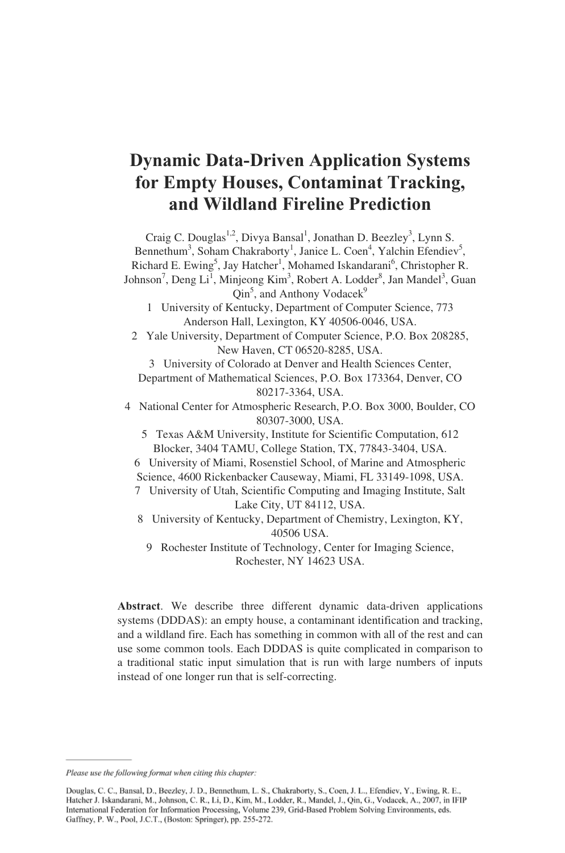# **Dynamic Data-Driven Application Systems for Empty Houses, Contaminat Tracking, and Wildland Fireline Prediction**

Craig C. Douglas<sup>1,2</sup>, Divya Bansal<sup>1</sup>, Jonathan D. Beezley<sup>3</sup>, Lynn S. Bennethum<sup>3</sup>, Soham Chakraborty<sup>1</sup>, Janice L. Coen<sup>4</sup>, Yalchin Efendiev<sup>5</sup>, Richard E. Ewing<sup>5</sup>, Jay Hatcher<sup>1</sup>, Mohamed Iskandarani<sup>6</sup>, Christopher R. Johnson<sup>7</sup>, Deng Li<sup>1</sup>, Minjeong Kim<sup>3</sup>, Robert A. Lodder<sup>8</sup>, Jan Mandel<sup>3</sup>, Guan Qin<sup>5</sup>, and Anthony Vodacek<sup>9</sup> 1 University of Kentucky, Department of Computer Science, 773

Anderson Hall, Lexington, KY 40506-0046, USA.

2 Yale University, Department of Computer Science, P.O. Box 208285, New Haven, CT 06520-8285, USA.

3 University of Colorado at Denver and Health Sciences Center, Department of Mathematical Sciences, P.O. Box 173364, Denver, CO 80217-3364, USA.

- 4 National Center for Atmospheric Research, P.O. Box 3000, Boulder, CO 80307-3000, USA.
	- 5 Texas A&M University, Institute for Scientific Computation, 612 Blocker, 3404 TAMU, College Station, TX, 77843-3404, USA.

6 University of Miami, Rosenstiel School, of Marine and Atmospheric Science, 4600 Rickenbacker Causeway, Miami, FL 33149-1098, USA. 7 University of Utah, Scientific Computing and Imaging Institute, Salt

Lake City, UT 84112, USA.

- 8 University of Kentucky, Department of Chemistry, Lexington, KY, 40506 USA.
	- 9 Rochester Institute of Technology, Center for Imaging Science, Rochester, NY 14623 USA.

**Abstract**. We describe three different dynamic data-driven applications systems (DDDAS): an empty house, a contaminant identification and tracking, and a wildland fire. Each has something in common with all of the rest and can use some common tools. Each DDDAS is quite complicated in comparison to a traditional static input simulation that is run with large numbers of inputs instead of one longer run that is self-correcting.

Please use the following format when citing this chapter:

Douglas, C. C., Bansal, D., Beezley, J. D., Bennethum, L. S., Chakraborty, S., Coen, J. L., Efendiev, Y., Ewing, R. E., Hatcher J. Iskandarani, M., Johnson, C. R., Li, D., Kim, M., Lodder, R., Mandel, J., Qin, G., Vodacek, A., 2007, in IFIP International Federation for Information Processing, Volume 239, Grid-Based Problem Solving Environments, eds. Gaffney, P. W., Pool, J.C.T., (Boston: Springer), pp. 255-272.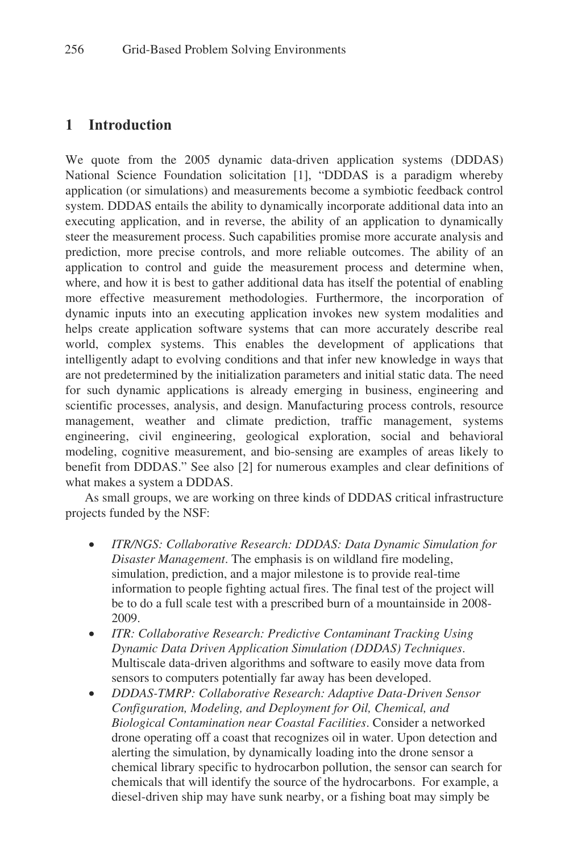#### **1 Introduction**

We quote from the 2005 dynamic data-driven application systems (DDDAS) National Science Foundation solicitation [1], "DDDAS is a paradigm whereby application (or simulations) and measurements become a symbiotic feedback control system. DDDAS entails the ability to dynamically incorporate additional data into an executing application, and in reverse, the ability of an application to dynamically steer the measurement process. Such capabilities promise more accurate analysis and prediction, more precise controls, and more reliable outcomes. The ability of an application to control and guide the measurement process and determine when, where, and how it is best to gather additional data has itself the potential of enabling more effective measurement methodologies. Furthermore, the incorporation of dynamic inputs into an executing application invokes new system modalities and helps create application software systems that can more accurately describe real world, complex systems. This enables the development of applications that intelligently adapt to evolving conditions and that infer new knowledge in ways that are not predetermined by the initialization parameters and initial static data. The need for such dynamic applications is already emerging in business, engineering and scientific processes, analysis, and design. Manufacturing process controls, resource management, weather and climate prediction, traffic management, systems engineering, civil engineering, geological exploration, social and behavioral modeling, cognitive measurement, and bio-sensing are examples of areas likely to benefit from DDDAS." See also [2] for numerous examples and clear definitions of what makes a system a DDDAS.

As small groups, we are working on three kinds of DDDAS critical infrastructure projects funded by the NSF:

- x *ITR/NGS: Collaborative Research: DDDAS: Data Dynamic Simulation for Disaster Management*. The emphasis is on wildland fire modeling, simulation, prediction, and a major milestone is to provide real-time information to people fighting actual fires. The final test of the project will be to do a full scale test with a prescribed burn of a mountainside in 2008- 2009.
- x *ITR: Collaborative Research: Predictive Contaminant Tracking Using Dynamic Data Driven Application Simulation (DDDAS) Techniques*. Multiscale data-driven algorithms and software to easily move data from sensors to computers potentially far away has been developed.
- x *DDDAS-TMRP: Collaborative Research: Adaptive Data-Driven Sensor Configuration, Modeling, and Deployment for Oil, Chemical, and Biological Contamination near Coastal Facilities*. Consider a networked drone operating off a coast that recognizes oil in water. Upon detection and alerting the simulation, by dynamically loading into the drone sensor a chemical library specific to hydrocarbon pollution, the sensor can search for chemicals that will identify the source of the hydrocarbons. For example, a diesel-driven ship may have sunk nearby, or a fishing boat may simply be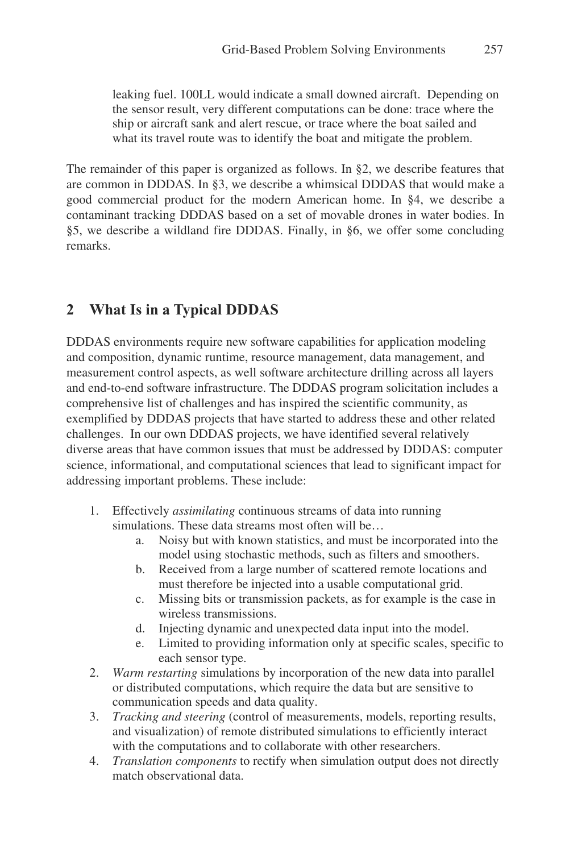leaking fuel. 100LL would indicate a small downed aircraft. Depending on the sensor result, very different computations can be done: trace where the ship or aircraft sank and alert rescue, or trace where the boat sailed and what its travel route was to identify the boat and mitigate the problem.

The remainder of this paper is organized as follows. In §2, we describe features that are common in DDDAS. In §3, we describe a whimsical DDDAS that would make a good commercial product for the modern American home. In §4, we describe a contaminant tracking DDDAS based on a set of movable drones in water bodies. In §5, we describe a wildland fire DDDAS. Finally, in §6, we offer some concluding remarks.

## **2 What Is in a Typical DDDAS**

DDDAS environments require new software capabilities for application modeling and composition, dynamic runtime, resource management, data management, and measurement control aspects, as well software architecture drilling across all layers and end-to-end software infrastructure. The DDDAS program solicitation includes a comprehensive list of challenges and has inspired the scientific community, as exemplified by DDDAS projects that have started to address these and other related challenges. In our own DDDAS projects, we have identified several relatively diverse areas that have common issues that must be addressed by DDDAS: computer science, informational, and computational sciences that lead to significant impact for addressing important problems. These include:

- 1. Effectively *assimilating* continuous streams of data into running simulations. These data streams most often will be...
	- a. Noisy but with known statistics, and must be incorporated into the model using stochastic methods, such as filters and smoothers.
	- b. Received from a large number of scattered remote locations and must therefore be injected into a usable computational grid.
	- c. Missing bits or transmission packets, as for example is the case in wireless transmissions.
	- d. Injecting dynamic and unexpected data input into the model.
	- e. Limited to providing information only at specific scales, specific to each sensor type.
- 2. *Warm restarting* simulations by incorporation of the new data into parallel or distributed computations, which require the data but are sensitive to communication speeds and data quality.
- 3. *Tracking and steering* (control of measurements, models, reporting results, and visualization) of remote distributed simulations to efficiently interact with the computations and to collaborate with other researchers.
- 4. *Translation components* to rectify when simulation output does not directly match observational data.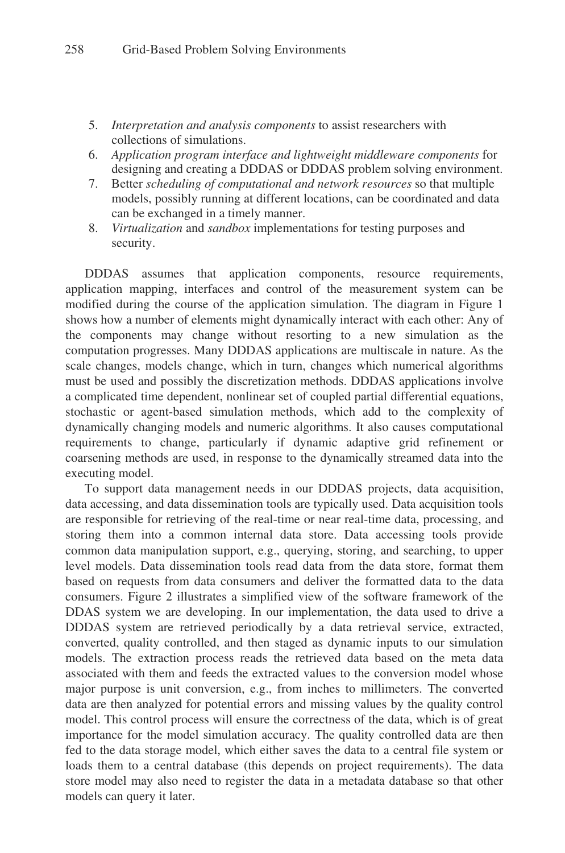- 5. *Interpretation and analysis components* to assist researchers with collections of simulations.
- 6. *Application program interface and lightweight middleware components* for designing and creating a DDDAS or DDDAS problem solving environment.
- 7. Better *scheduling of computational and network resources* so that multiple models, possibly running at different locations, can be coordinated and data can be exchanged in a timely manner.
- 8. *Virtualization* and *sandbox* implementations for testing purposes and security.

DDDAS assumes that application components, resource requirements, application mapping, interfaces and control of the measurement system can be modified during the course of the application simulation. The diagram in Figure 1 shows how a number of elements might dynamically interact with each other: Any of the components may change without resorting to a new simulation as the computation progresses. Many DDDAS applications are multiscale in nature. As the scale changes, models change, which in turn, changes which numerical algorithms must be used and possibly the discretization methods. DDDAS applications involve a complicated time dependent, nonlinear set of coupled partial differential equations, stochastic or agent-based simulation methods, which add to the complexity of dynamically changing models and numeric algorithms. It also causes computational requirements to change, particularly if dynamic adaptive grid refinement or coarsening methods are used, in response to the dynamically streamed data into the executing model.

To support data management needs in our DDDAS projects, data acquisition, data accessing, and data dissemination tools are typically used. Data acquisition tools are responsible for retrieving of the real-time or near real-time data, processing, and storing them into a common internal data store. Data accessing tools provide common data manipulation support, e.g., querying, storing, and searching, to upper level models. Data dissemination tools read data from the data store, format them based on requests from data consumers and deliver the formatted data to the data consumers. Figure 2 illustrates a simplified view of the software framework of the DDAS system we are developing. In our implementation, the data used to drive a DDDAS system are retrieved periodically by a data retrieval service, extracted, converted, quality controlled, and then staged as dynamic inputs to our simulation models. The extraction process reads the retrieved data based on the meta data associated with them and feeds the extracted values to the conversion model whose major purpose is unit conversion, e.g., from inches to millimeters. The converted data are then analyzed for potential errors and missing values by the quality control model. This control process will ensure the correctness of the data, which is of great importance for the model simulation accuracy. The quality controlled data are then fed to the data storage model, which either saves the data to a central file system or loads them to a central database (this depends on project requirements). The data store model may also need to register the data in a metadata database so that other models can query it later.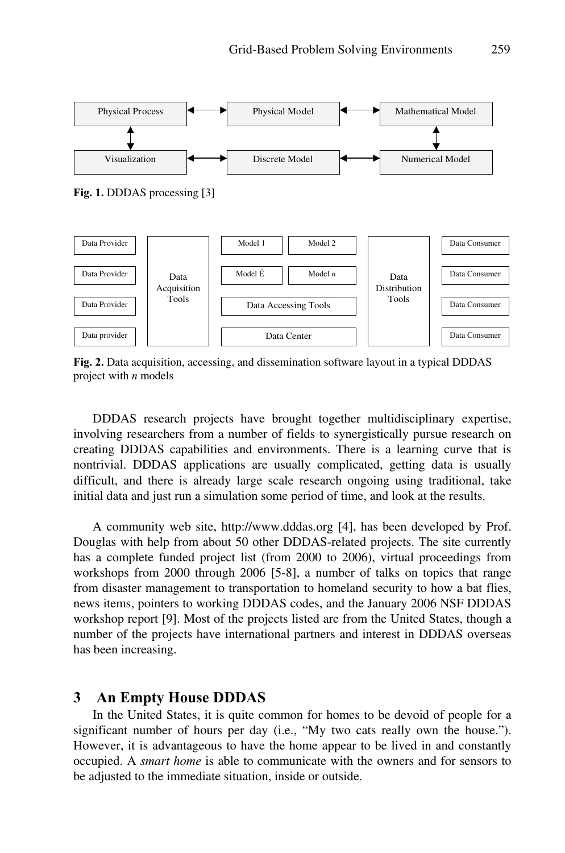

**Fig. 2.** Data acquisition, accessing, and dissemination software layout in a typical DDDAS project with *n* models

DDDAS research projects have brought together multidisciplinary expertise, involving researchers from a number of fields to synergistically pursue research on creating DDDAS capabilities and environments. There is a learning curve that is nontrivial. DDDAS applications are usually complicated, getting data is usually difficult, and there is already large scale research ongoing using traditional, take initial data and just run a simulation some period of time, and look at the results.

A community web site, http://www.dddas.org [4], has been developed by Prof. Douglas with help from about 50 other DDDAS-related projects. The site currently has a complete funded project list (from 2000 to 2006), virtual proceedings from workshops from 2000 through 2006 [5-8], a number of talks on topics that range from disaster management to transportation to homeland security to how a bat flies, news items, pointers to working DDDAS codes, and the January 2006 NSF DDDAS workshop report [9]. Most of the projects listed are from the United States, though a number of the projects have international partners and interest in DDDAS overseas has been increasing.

#### **3 An Empty House DDDAS**

In the United States, it is quite common for homes to be devoid of people for a significant number of hours per day (i.e., "My two cats really own the house."). However, it is advantageous to have the home appear to be lived in and constantly occupied. A *smart home* is able to communicate with the owners and for sensors to be adjusted to the immediate situation, inside or outside.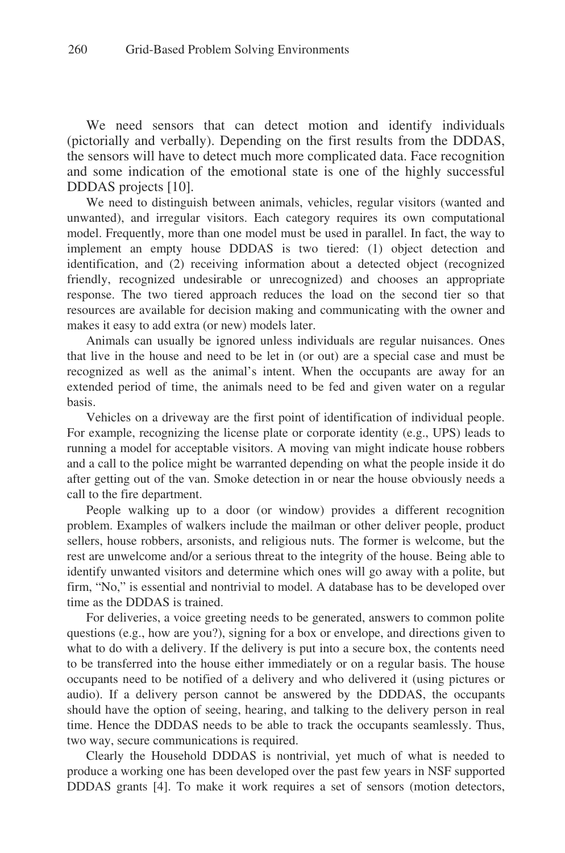We need sensors that can detect motion and identify individuals (pictorially and verbally). Depending on the first results from the DDDAS, the sensors will have to detect much more complicated data. Face recognition and some indication of the emotional state is one of the highly successful DDDAS projects [10].

We need to distinguish between animals, vehicles, regular visitors (wanted and unwanted), and irregular visitors. Each category requires its own computational model. Frequently, more than one model must be used in parallel. In fact, the way to implement an empty house DDDAS is two tiered: (1) object detection and identification, and (2) receiving information about a detected object (recognized friendly, recognized undesirable or unrecognized) and chooses an appropriate response. The two tiered approach reduces the load on the second tier so that resources are available for decision making and communicating with the owner and makes it easy to add extra (or new) models later.

Animals can usually be ignored unless individuals are regular nuisances. Ones that live in the house and need to be let in (or out) are a special case and must be recognized as well as the animal's intent. When the occupants are away for an extended period of time, the animals need to be fed and given water on a regular basis.

Vehicles on a driveway are the first point of identification of individual people. For example, recognizing the license plate or corporate identity (e.g., UPS) leads to running a model for acceptable visitors. A moving van might indicate house robbers and a call to the police might be warranted depending on what the people inside it do after getting out of the van. Smoke detection in or near the house obviously needs a call to the fire department.

People walking up to a door (or window) provides a different recognition problem. Examples of walkers include the mailman or other deliver people, product sellers, house robbers, arsonists, and religious nuts. The former is welcome, but the rest are unwelcome and/or a serious threat to the integrity of the house. Being able to identify unwanted visitors and determine which ones will go away with a polite, but firm, "No," is essential and nontrivial to model. A database has to be developed over time as the DDDAS is trained.

For deliveries, a voice greeting needs to be generated, answers to common polite questions (e.g., how are you?), signing for a box or envelope, and directions given to what to do with a delivery. If the delivery is put into a secure box, the contents need to be transferred into the house either immediately or on a regular basis. The house occupants need to be notified of a delivery and who delivered it (using pictures or audio). If a delivery person cannot be answered by the DDDAS, the occupants should have the option of seeing, hearing, and talking to the delivery person in real time. Hence the DDDAS needs to be able to track the occupants seamlessly. Thus, two way, secure communications is required.

Clearly the Household DDDAS is nontrivial, yet much of what is needed to produce a working one has been developed over the past few years in NSF supported DDDAS grants [4]. To make it work requires a set of sensors (motion detectors,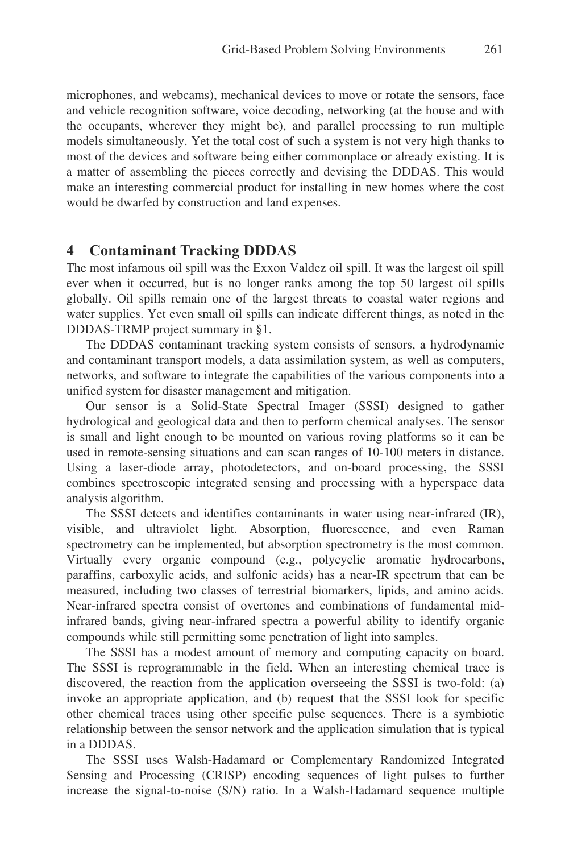microphones, and webcams), mechanical devices to move or rotate the sensors, face and vehicle recognition software, voice decoding, networking (at the house and with the occupants, wherever they might be), and parallel processing to run multiple models simultaneously. Yet the total cost of such a system is not very high thanks to most of the devices and software being either commonplace or already existing. It is a matter of assembling the pieces correctly and devising the DDDAS. This would make an interesting commercial product for installing in new homes where the cost would be dwarfed by construction and land expenses.

#### **4 Contaminant Tracking DDDAS**

The most infamous oil spill was the Exxon Valdez oil spill. It was the largest oil spill ever when it occurred, but is no longer ranks among the top 50 largest oil spills globally. Oil spills remain one of the largest threats to coastal water regions and water supplies. Yet even small oil spills can indicate different things, as noted in the DDDAS-TRMP project summary in §1.

The DDDAS contaminant tracking system consists of sensors, a hydrodynamic and contaminant transport models, a data assimilation system, as well as computers, networks, and software to integrate the capabilities of the various components into a unified system for disaster management and mitigation.

Our sensor is a Solid-State Spectral Imager (SSSI) designed to gather hydrological and geological data and then to perform chemical analyses. The sensor is small and light enough to be mounted on various roving platforms so it can be used in remote-sensing situations and can scan ranges of 10-100 meters in distance. Using a laser-diode array, photodetectors, and on-board processing, the SSSI combines spectroscopic integrated sensing and processing with a hyperspace data analysis algorithm.

The SSSI detects and identifies contaminants in water using near-infrared (IR), visible, and ultraviolet light. Absorption, fluorescence, and even Raman spectrometry can be implemented, but absorption spectrometry is the most common. Virtually every organic compound (e.g., polycyclic aromatic hydrocarbons, paraffins, carboxylic acids, and sulfonic acids) has a near-IR spectrum that can be measured, including two classes of terrestrial biomarkers, lipids, and amino acids. Near-infrared spectra consist of overtones and combinations of fundamental midinfrared bands, giving near-infrared spectra a powerful ability to identify organic compounds while still permitting some penetration of light into samples.

The SSSI has a modest amount of memory and computing capacity on board. The SSSI is reprogrammable in the field. When an interesting chemical trace is discovered, the reaction from the application overseeing the SSSI is two-fold: (a) invoke an appropriate application, and (b) request that the SSSI look for specific other chemical traces using other specific pulse sequences. There is a symbiotic relationship between the sensor network and the application simulation that is typical in a DDDAS.

The SSSI uses Walsh-Hadamard or Complementary Randomized Integrated Sensing and Processing (CRISP) encoding sequences of light pulses to further increase the signal-to-noise (S/N) ratio. In a Walsh-Hadamard sequence multiple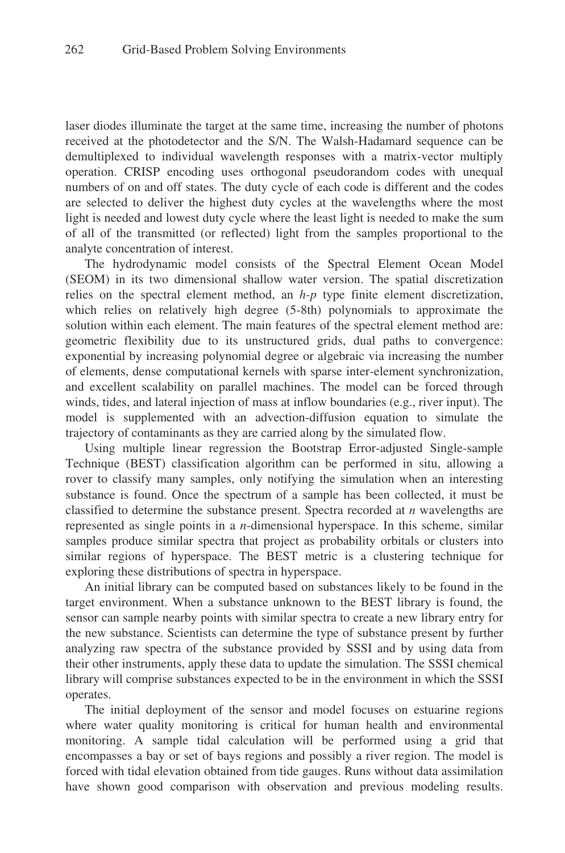laser diodes illuminate the target at the same time, increasing the number of photons received at the photodetector and the S/N. The Walsh-Hadamard sequence can be demultiplexed to individual wavelength responses with a matrix-vector multiply operation. CRISP encoding uses orthogonal pseudorandom codes with unequal numbers of on and off states. The duty cycle of each code is different and the codes are selected to deliver the highest duty cycles at the wavelengths where the most light is needed and lowest duty cycle where the least light is needed to make the sum of all of the transmitted (or reflected) light from the samples proportional to the analyte concentration of interest.

The hydrodynamic model consists of the Spectral Element Ocean Model (SEOM) in its two dimensional shallow water version. The spatial discretization relies on the spectral element method, an *h-p* type finite element discretization, which relies on relatively high degree (5-8th) polynomials to approximate the solution within each element. The main features of the spectral element method are: geometric flexibility due to its unstructured grids, dual paths to convergence: exponential by increasing polynomial degree or algebraic via increasing the number of elements, dense computational kernels with sparse inter-element synchronization, and excellent scalability on parallel machines. The model can be forced through winds, tides, and lateral injection of mass at inflow boundaries (e.g., river input). The model is supplemented with an advection-diffusion equation to simulate the trajectory of contaminants as they are carried along by the simulated flow.

Using multiple linear regression the Bootstrap Error-adjusted Single-sample Technique (BEST) classification algorithm can be performed in situ, allowing a rover to classify many samples, only notifying the simulation when an interesting substance is found. Once the spectrum of a sample has been collected, it must be classified to determine the substance present. Spectra recorded at *n* wavelengths are represented as single points in a *n*-dimensional hyperspace. In this scheme, similar samples produce similar spectra that project as probability orbitals or clusters into similar regions of hyperspace. The BEST metric is a clustering technique for exploring these distributions of spectra in hyperspace.

An initial library can be computed based on substances likely to be found in the target environment. When a substance unknown to the BEST library is found, the sensor can sample nearby points with similar spectra to create a new library entry for the new substance. Scientists can determine the type of substance present by further analyzing raw spectra of the substance provided by SSSI and by using data from their other instruments, apply these data to update the simulation. The SSSI chemical library will comprise substances expected to be in the environment in which the SSSI operates.

The initial deployment of the sensor and model focuses on estuarine regions where water quality monitoring is critical for human health and environmental monitoring. A sample tidal calculation will be performed using a grid that encompasses a bay or set of bays regions and possibly a river region. The model is forced with tidal elevation obtained from tide gauges. Runs without data assimilation have shown good comparison with observation and previous modeling results.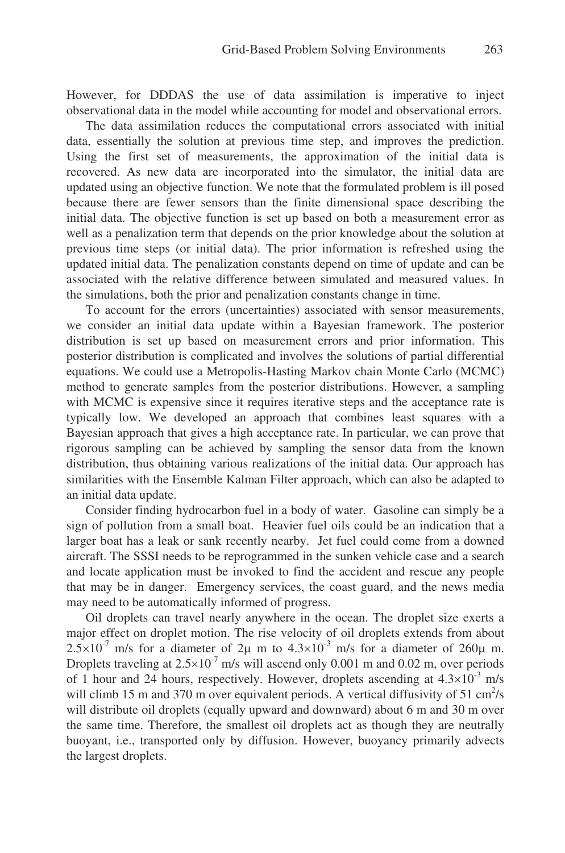However, for DDDAS the use of data assimilation is imperative to inject observational data in the model while accounting for model and observational errors.

The data assimilation reduces the computational errors associated with initial data, essentially the solution at previous time step, and improves the prediction. Using the first set of measurements, the approximation of the initial data is recovered. As new data are incorporated into the simulator, the initial data are updated using an objective function. We note that the formulated problem is ill posed because there are fewer sensors than the finite dimensional space describing the initial data. The objective function is set up based on both a measurement error as well as a penalization term that depends on the prior knowledge about the solution at previous time steps (or initial data). The prior information is refreshed using the updated initial data. The penalization constants depend on time of update and can be associated with the relative difference between simulated and measured values. In the simulations, both the prior and penalization constants change in time.

To account for the errors (uncertainties) associated with sensor measurements, we consider an initial data update within a Bayesian framework. The posterior distribution is set up based on measurement errors and prior information. This posterior distribution is complicated and involves the solutions of partial differential equations. We could use a Metropolis-Hasting Markov chain Monte Carlo (MCMC) method to generate samples from the posterior distributions. However, a sampling with MCMC is expensive since it requires iterative steps and the acceptance rate is typically low. We developed an approach that combines least squares with a Bayesian approach that gives a high acceptance rate. In particular, we can prove that rigorous sampling can be achieved by sampling the sensor data from the known distribution, thus obtaining various realizations of the initial data. Our approach has similarities with the Ensemble Kalman Filter approach, which can also be adapted to an initial data update.

Consider finding hydrocarbon fuel in a body of water. Gasoline can simply be a sign of pollution from a small boat. Heavier fuel oils could be an indication that a larger boat has a leak or sank recently nearby. Jet fuel could come from a downed aircraft. The SSSI needs to be reprogrammed in the sunken vehicle case and a search and locate application must be invoked to find the accident and rescue any people that may be in danger. Emergency services, the coast guard, and the news media may need to be automatically informed of progress.

Oil droplets can travel nearly anywhere in the ocean. The droplet size exerts a major effect on droplet motion. The rise velocity of oil droplets extends from about  $2.5 \times 10^{-7}$  m/s for a diameter of  $2\mu$  m to  $4.3 \times 10^{-3}$  m/s for a diameter of  $260\mu$  m. Droplets traveling at  $2.5 \times 10^{-7}$  m/s will ascend only 0.001 m and 0.02 m, over periods of 1 hour and 24 hours, respectively. However, droplets ascending at  $4.3 \times 10^{-3}$  m/s will climb 15 m and 370 m over equivalent periods. A vertical diffusivity of 51  $\text{cm}^2\text{/s}$ will distribute oil droplets (equally upward and downward) about 6 m and 30 m over the same time. Therefore, the smallest oil droplets act as though they are neutrally buoyant, i.e., transported only by diffusion. However, buoyancy primarily advects the largest droplets.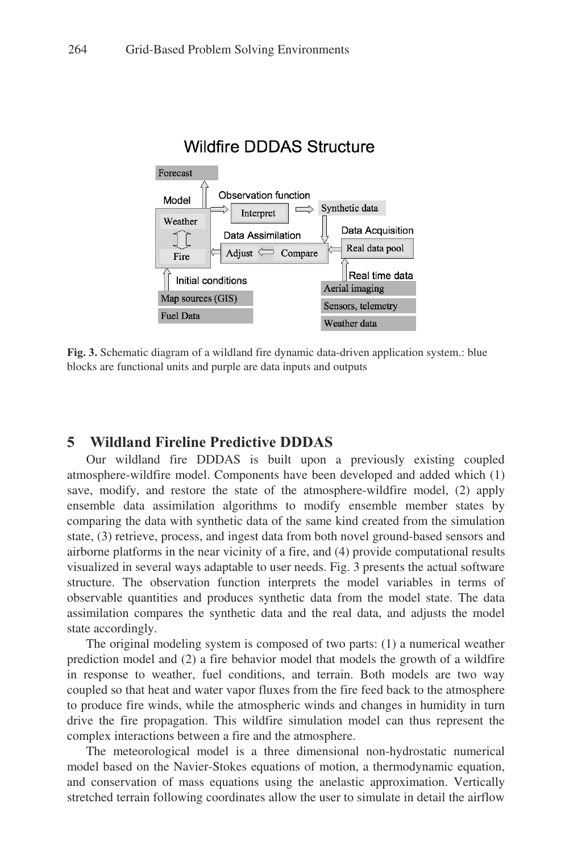

**Fig. 3.** Schematic diagram of a wildland fire dynamic data-driven application system.: blue blocks are functional units and purple are data inputs and outputs

#### **5 Wildland Fireline Predictive DDDAS**

Our wildland fire DDDAS is built upon a previously existing coupled atmosphere-wildfire model. Components have been developed and added which (1) save, modify, and restore the state of the atmosphere-wildfire model, (2) apply ensemble data assimilation algorithms to modify ensemble member states by comparing the data with synthetic data of the same kind created from the simulation state, (3) retrieve, process, and ingest data from both novel ground-based sensors and airborne platforms in the near vicinity of a fire, and (4) provide computational results visualized in several ways adaptable to user needs. Fig. 3 presents the actual software structure. The observation function interprets the model variables in terms of observable quantities and produces synthetic data from the model state. The data assimilation compares the synthetic data and the real data, and adjusts the model state accordingly.

The original modeling system is composed of two parts: (1) a numerical weather prediction model and (2) a fire behavior model that models the growth of a wildfire in response to weather, fuel conditions, and terrain. Both models are two way coupled so that heat and water vapor fluxes from the fire feed back to the atmosphere to produce fire winds, while the atmospheric winds and changes in humidity in turn drive the fire propagation. This wildfire simulation model can thus represent the complex interactions between a fire and the atmosphere.

The meteorological model is a three dimensional non-hydrostatic numerical model based on the Navier-Stokes equations of motion, a thermodynamic equation, and conservation of mass equations using the anelastic approximation. Vertically stretched terrain following coordinates allow the user to simulate in detail the airflow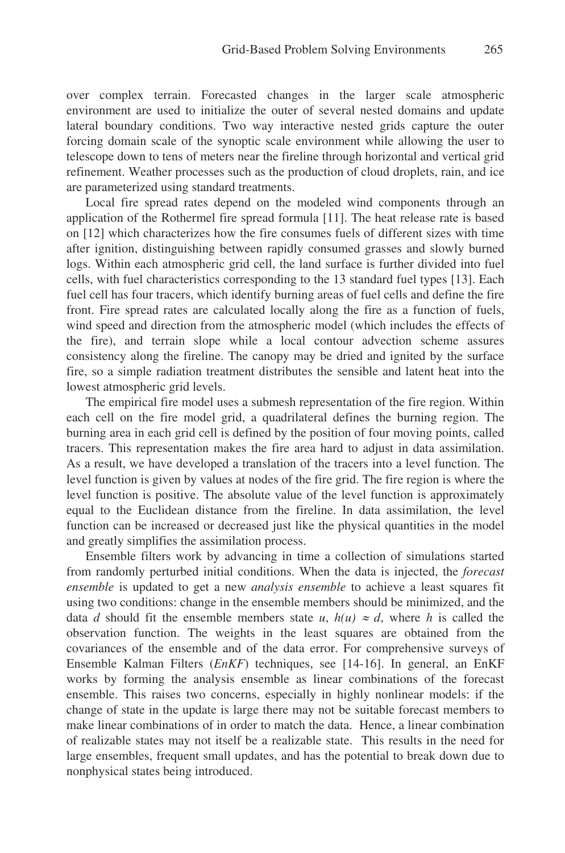over complex terrain. Forecasted changes in the larger scale atmospheric environment are used to initialize the outer of several nested domains and update lateral boundary conditions. Two way interactive nested grids capture the outer forcing domain scale of the synoptic scale environment while allowing the user to telescope down to tens of meters near the fireline through horizontal and vertical grid refinement. Weather processes such as the production of cloud droplets, rain, and ice are parameterized using standard treatments.

Local fire spread rates depend on the modeled wind components through an application of the Rothermel fire spread formula [11]. The heat release rate is based on [12] which characterizes how the fire consumes fuels of different sizes with time after ignition, distinguishing between rapidly consumed grasses and slowly burned logs. Within each atmospheric grid cell, the land surface is further divided into fuel cells, with fuel characteristics corresponding to the 13 standard fuel types [13]. Each fuel cell has four tracers, which identify burning areas of fuel cells and define the fire front. Fire spread rates are calculated locally along the fire as a function of fuels, wind speed and direction from the atmospheric model (which includes the effects of the fire), and terrain slope while a local contour advection scheme assures consistency along the fireline. The canopy may be dried and ignited by the surface fire, so a simple radiation treatment distributes the sensible and latent heat into the lowest atmospheric grid levels.

The empirical fire model uses a submesh representation of the fire region. Within each cell on the fire model grid, a quadrilateral defines the burning region. The burning area in each grid cell is defined by the position of four moving points, called tracers. This representation makes the fire area hard to adjust in data assimilation. As a result, we have developed a translation of the tracers into a level function. The level function is given by values at nodes of the fire grid. The fire region is where the level function is positive. The absolute value of the level function is approximately equal to the Euclidean distance from the fireline. In data assimilation, the level function can be increased or decreased just like the physical quantities in the model and greatly simplifies the assimilation process.

Ensemble filters work by advancing in time a collection of simulations started from randomly perturbed initial conditions. When the data is injected, the *forecast ensemble* is updated to get a new *analysis ensemble* to achieve a least squares fit using two conditions: change in the ensemble members should be minimized, and the data *d* should fit the ensemble members state *u*,  $h(u) \approx d$ , where *h* is called the observation function. The weights in the least squares are obtained from the covariances of the ensemble and of the data error. For comprehensive surveys of Ensemble Kalman Filters (*EnKF*) techniques, see [14-16]. In general, an EnKF works by forming the analysis ensemble as linear combinations of the forecast ensemble. This raises two concerns, especially in highly nonlinear models: if the change of state in the update is large there may not be suitable forecast members to make linear combinations of in order to match the data. Hence, a linear combination of realizable states may not itself be a realizable state. This results in the need for large ensembles, frequent small updates, and has the potential to break down due to nonphysical states being introduced.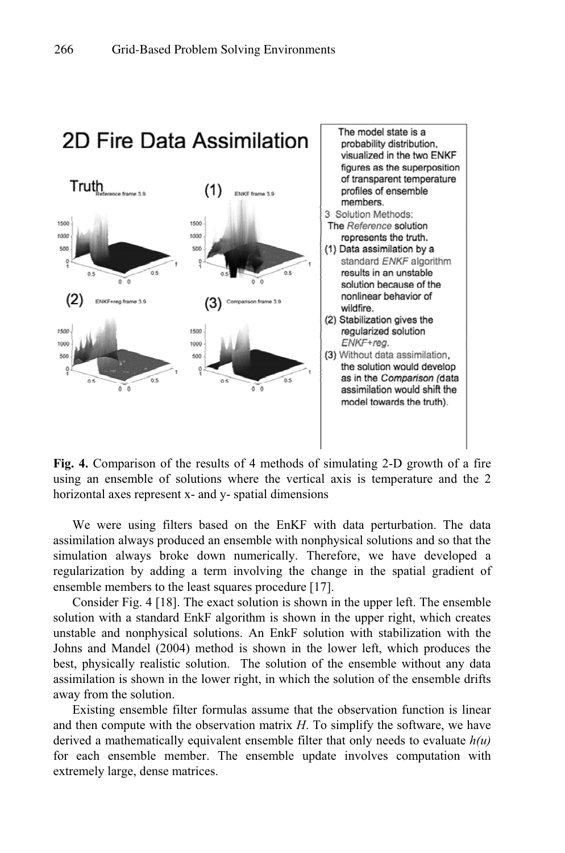

**Fig. 4.** Comparison of the results of 4 methods of simulating 2-D growth of a fire using an ensemble of solutions where the vertical axis is temperature and the 2 horizontal axes represent x- and y- spatial dimensions

We were using filters based on the EnKF with data perturbation. The data assimilation always produced an ensemble with nonphysical solutions and so that the simulation always broke down numerically. Therefore, we have developed a regularization by adding a term involving the change in the spatial gradient of ensemble members to the least squares procedure [17].

Consider Fig. 4 [18]. The exact solution is shown in the upper left. The ensemble solution with a standard EnkF algorithm is shown in the upper right, which creates unstable and nonphysical solutions. An EnkF solution with stabilization with the Johns and Mandel (2004) method is shown in the lower left, which produces the best, physically realistic solution. The solution of the ensemble without any data assimilation is shown in the lower right, in which the solution of the ensemble drifts away from the solution.

Existing ensemble filter formulas assume that the observation function is linear and then compute with the observation matrix *H*. To simplify the software, we have derived a mathematically equivalent ensemble filter that only needs to evaluate *h(u)* for each ensemble member. The ensemble update involves computation with extremely large, dense matrices.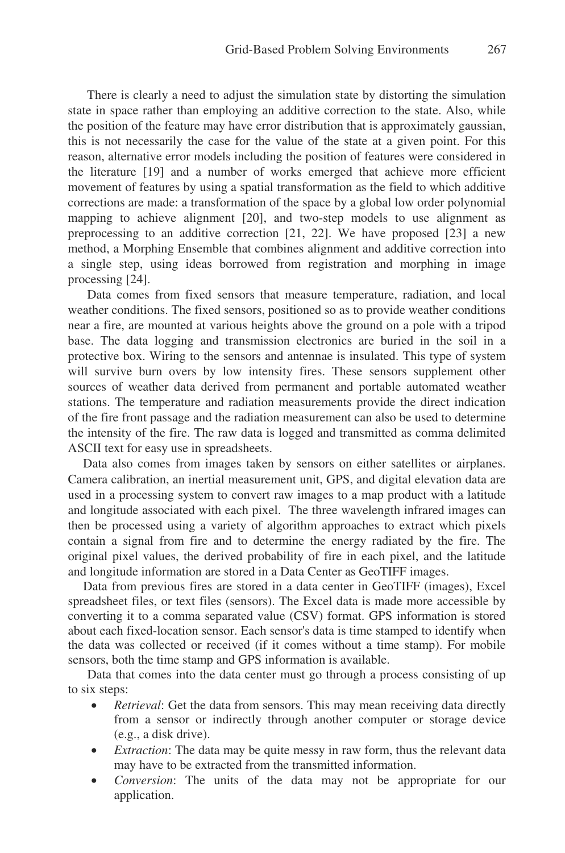There is clearly a need to adjust the simulation state by distorting the simulation state in space rather than employing an additive correction to the state. Also, while the position of the feature may have error distribution that is approximately gaussian, this is not necessarily the case for the value of the state at a given point. For this reason, alternative error models including the position of features were considered in the literature [19] and a number of works emerged that achieve more efficient movement of features by using a spatial transformation as the field to which additive corrections are made: a transformation of the space by a global low order polynomial mapping to achieve alignment [20], and two-step models to use alignment as preprocessing to an additive correction [21, 22]. We have proposed [23] a new method, a Morphing Ensemble that combines alignment and additive correction into a single step, using ideas borrowed from registration and morphing in image processing [24].

Data comes from fixed sensors that measure temperature, radiation, and local weather conditions. The fixed sensors, positioned so as to provide weather conditions near a fire, are mounted at various heights above the ground on a pole with a tripod base. The data logging and transmission electronics are buried in the soil in a protective box. Wiring to the sensors and antennae is insulated. This type of system will survive burn overs by low intensity fires. These sensors supplement other sources of weather data derived from permanent and portable automated weather stations. The temperature and radiation measurements provide the direct indication of the fire front passage and the radiation measurement can also be used to determine the intensity of the fire. The raw data is logged and transmitted as comma delimited ASCII text for easy use in spreadsheets.

Data also comes from images taken by sensors on either satellites or airplanes. Camera calibration, an inertial measurement unit, GPS, and digital elevation data are used in a processing system to convert raw images to a map product with a latitude and longitude associated with each pixel. The three wavelength infrared images can then be processed using a variety of algorithm approaches to extract which pixels contain a signal from fire and to determine the energy radiated by the fire. The original pixel values, the derived probability of fire in each pixel, and the latitude and longitude information are stored in a Data Center as GeoTIFF images.

Data from previous fires are stored in a data center in GeoTIFF (images), Excel spreadsheet files, or text files (sensors). The Excel data is made more accessible by converting it to a comma separated value (CSV) format. GPS information is stored about each fixed-location sensor. Each sensor's data is time stamped to identify when the data was collected or received (if it comes without a time stamp). For mobile sensors, both the time stamp and GPS information is available.

Data that comes into the data center must go through a process consisting of up to six steps:

- x *Retrieval*: Get the data from sensors. This may mean receiving data directly from a sensor or indirectly through another computer or storage device (e.g., a disk drive).
- *Extraction*: The data may be quite messy in raw form, thus the relevant data may have to be extracted from the transmitted information.
- x *Conversion*: The units of the data may not be appropriate for our application.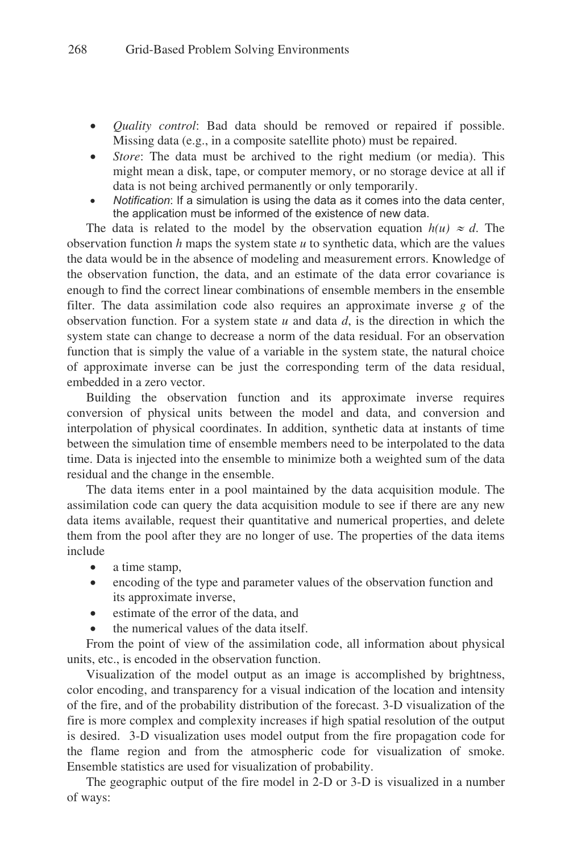- x *Quality control*: Bad data should be removed or repaired if possible. Missing data (e.g., in a composite satellite photo) must be repaired.
- *Store*: The data must be archived to the right medium (or media). This might mean a disk, tape, or computer memory, or no storage device at all if data is not being archived permanently or only temporarily.
- Notification: If a simulation is using the data as it comes into the data center, the application must be informed of the existence of new data.

The data is related to the model by the observation equation  $h(u) \approx d$ . The observation function *h* maps the system state *u* to synthetic data, which are the values the data would be in the absence of modeling and measurement errors. Knowledge of the observation function, the data, and an estimate of the data error covariance is enough to find the correct linear combinations of ensemble members in the ensemble filter. The data assimilation code also requires an approximate inverse *g* of the observation function. For a system state *u* and data *d*, is the direction in which the system state can change to decrease a norm of the data residual. For an observation function that is simply the value of a variable in the system state, the natural choice of approximate inverse can be just the corresponding term of the data residual, embedded in a zero vector.

Building the observation function and its approximate inverse requires conversion of physical units between the model and data, and conversion and interpolation of physical coordinates. In addition, synthetic data at instants of time between the simulation time of ensemble members need to be interpolated to the data time. Data is injected into the ensemble to minimize both a weighted sum of the data residual and the change in the ensemble.

The data items enter in a pool maintained by the data acquisition module. The assimilation code can query the data acquisition module to see if there are any new data items available, request their quantitative and numerical properties, and delete them from the pool after they are no longer of use. The properties of the data items include

- $\bullet$  a time stamp,
- encoding of the type and parameter values of the observation function and its approximate inverse,
- estimate of the error of the data, and
- the numerical values of the data itself.

From the point of view of the assimilation code, all information about physical units, etc., is encoded in the observation function.

Visualization of the model output as an image is accomplished by brightness, color encoding, and transparency for a visual indication of the location and intensity of the fire, and of the probability distribution of the forecast. 3-D visualization of the fire is more complex and complexity increases if high spatial resolution of the output is desired. 3-D visualization uses model output from the fire propagation code for the flame region and from the atmospheric code for visualization of smoke. Ensemble statistics are used for visualization of probability.

The geographic output of the fire model in 2-D or 3-D is visualized in a number of ways: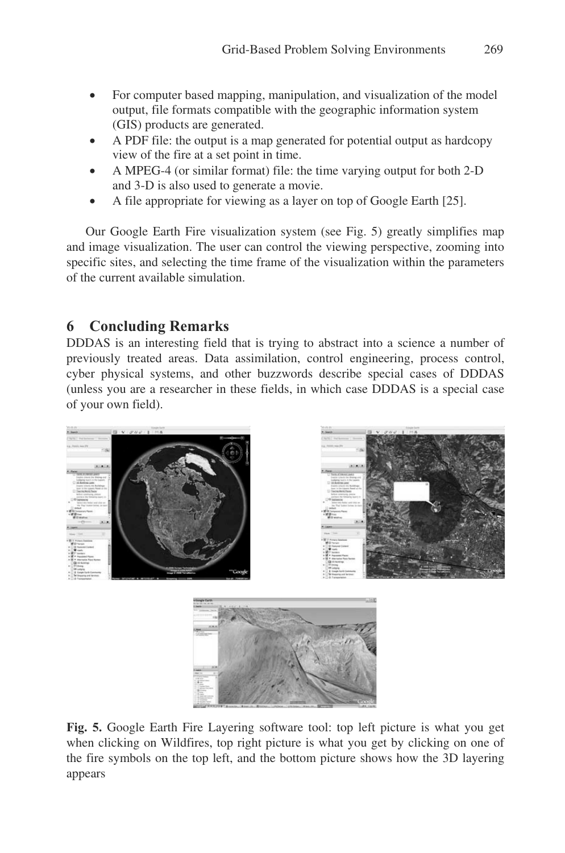- For computer based mapping, manipulation, and visualization of the model output, file formats compatible with the geographic information system (GIS) products are generated.
- x A PDF file: the output is a map generated for potential output as hardcopy view of the fire at a set point in time.
- x A MPEG-4 (or similar format) file: the time varying output for both 2-D and 3-D is also used to generate a movie.
- A file appropriate for viewing as a layer on top of Google Earth [25].

Our Google Earth Fire visualization system (see Fig. 5) greatly simplifies map and image visualization. The user can control the viewing perspective, zooming into specific sites, and selecting the time frame of the visualization within the parameters of the current available simulation.

## **6 Concluding Remarks**

DDDAS is an interesting field that is trying to abstract into a science a number of previously treated areas. Data assimilation, control engineering, process control, cyber physical systems, and other buzzwords describe special cases of DDDAS (unless you are a researcher in these fields, in which case DDDAS is a special case of your own field).





**Fig. 5.** Google Earth Fire Layering software tool: top left picture is what you get when clicking on Wildfires, top right picture is what you get by clicking on one of the fire symbols on the top left, and the bottom picture shows how the 3D layering appears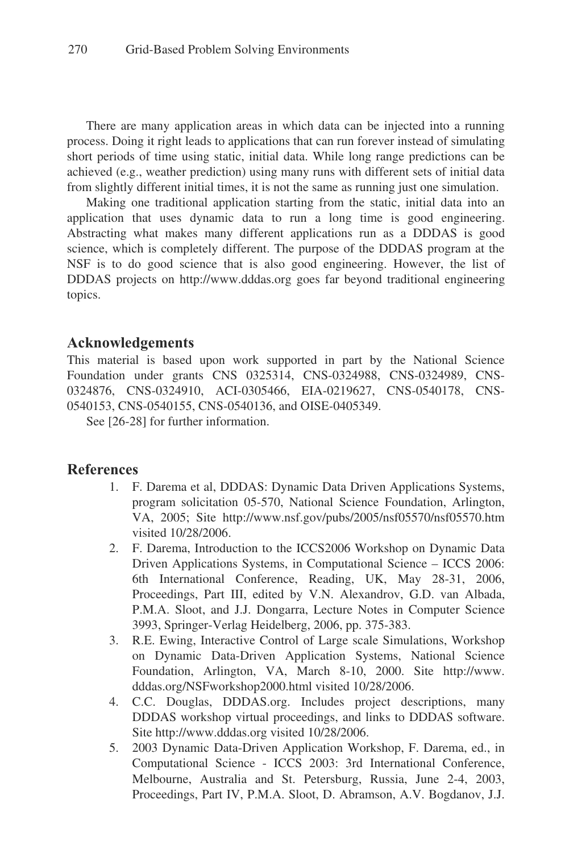There are many application areas in which data can be injected into a running process. Doing it right leads to applications that can run forever instead of simulating short periods of time using static, initial data. While long range predictions can be achieved (e.g., weather prediction) using many runs with different sets of initial data from slightly different initial times, it is not the same as running just one simulation.

Making one traditional application starting from the static, initial data into an application that uses dynamic data to run a long time is good engineering. Abstracting what makes many different applications run as a DDDAS is good science, which is completely different. The purpose of the DDDAS program at the NSF is to do good science that is also good engineering. However, the list of DDDAS projects on http://www.dddas.org goes far beyond traditional engineering topics.

#### **Acknowledgements**

This material is based upon work supported in part by the National Science Foundation under grants CNS 0325314, CNS-0324988, CNS-0324989, CNS-0324876, CNS-0324910, ACI-0305466, EIA-0219627, CNS-0540178, CNS-0540153, CNS-0540155, CNS-0540136, and OISE-0405349.

See [26-28] for further information.

#### **References**

- 1. F. Darema et al, DDDAS: Dynamic Data Driven Applications Systems, program solicitation 05-570, National Science Foundation, Arlington, VA, 2005; Site http://www.nsf.gov/pubs/2005/nsf05570/nsf05570.htm visited 10/28/2006.
- 2. F. Darema, Introduction to the ICCS2006 Workshop on Dynamic Data Driven Applications Systems, in Computational Science – ICCS 2006: 6th International Conference, Reading, UK, May 28-31, 2006, Proceedings, Part III, edited by V.N. Alexandrov, G.D. van Albada, P.M.A. Sloot, and J.J. Dongarra, Lecture Notes in Computer Science 3993, Springer-Verlag Heidelberg, 2006, pp. 375-383.
- 3. R.E. Ewing, Interactive Control of Large scale Simulations, Workshop on Dynamic Data-Driven Application Systems, National Science Foundation, Arlington, VA, March 8-10, 2000. Site http://www. dddas.org/NSFworkshop2000.html visited 10/28/2006.
- 4. C.C. Douglas, DDDAS.org. Includes project descriptions, many DDDAS workshop virtual proceedings, and links to DDDAS software. Site http://www.dddas.org visited 10/28/2006.
- 5. 2003 Dynamic Data-Driven Application Workshop, F. Darema, ed., in Computational Science - ICCS 2003: 3rd International Conference, Melbourne, Australia and St. Petersburg, Russia, June 2-4, 2003, Proceedings, Part IV, P.M.A. Sloot, D. Abramson, A.V. Bogdanov, J.J.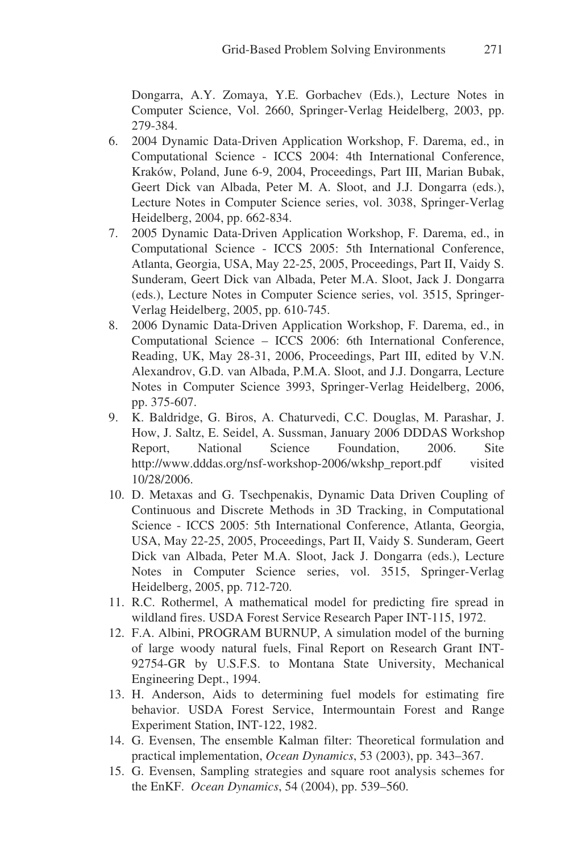Dongarra, A.Y. Zomaya, Y.E. Gorbachev (Eds.), Lecture Notes in Computer Science, Vol. 2660, Springer-Verlag Heidelberg, 2003, pp. 279-384.

- 6. 2004 Dynamic Data-Driven Application Workshop, F. Darema, ed., in Computational Science - ICCS 2004: 4th International Conference, Kraków, Poland, June 6-9, 2004, Proceedings, Part III, Marian Bubak, Geert Dick van Albada, Peter M. A. Sloot, and J.J. Dongarra (eds.), Lecture Notes in Computer Science series, vol. 3038, Springer-Verlag Heidelberg, 2004, pp. 662-834.
- 7. 2005 Dynamic Data-Driven Application Workshop, F. Darema, ed., in Computational Science - ICCS 2005: 5th International Conference, Atlanta, Georgia, USA, May 22-25, 2005, Proceedings, Part II, Vaidy S. Sunderam, Geert Dick van Albada, Peter M.A. Sloot, Jack J. Dongarra (eds.), Lecture Notes in Computer Science series, vol. 3515, Springer-Verlag Heidelberg, 2005, pp. 610-745.
- 8. 2006 Dynamic Data-Driven Application Workshop, F. Darema, ed., in Computational Science – ICCS 2006: 6th International Conference, Reading, UK, May 28-31, 2006, Proceedings, Part III, edited by V.N. Alexandrov, G.D. van Albada, P.M.A. Sloot, and J.J. Dongarra, Lecture Notes in Computer Science 3993, Springer-Verlag Heidelberg, 2006, pp. 375-607.
- 9. K. Baldridge, G. Biros, A. Chaturvedi, C.C. Douglas, M. Parashar, J. How, J. Saltz, E. Seidel, A. Sussman, January 2006 DDDAS Workshop Report, National Science Foundation, 2006. Site http://www.dddas.org/nsf-workshop-2006/wkshp\_report.pdf visited 10/28/2006.
- 10. D. Metaxas and G. Tsechpenakis, Dynamic Data Driven Coupling of Continuous and Discrete Methods in 3D Tracking, in Computational Science - ICCS 2005: 5th International Conference, Atlanta, Georgia, USA, May 22-25, 2005, Proceedings, Part II, Vaidy S. Sunderam, Geert Dick van Albada, Peter M.A. Sloot, Jack J. Dongarra (eds.), Lecture Notes in Computer Science series, vol. 3515, Springer-Verlag Heidelberg, 2005, pp. 712-720.
- 11. R.C. Rothermel, A mathematical model for predicting fire spread in wildland fires. USDA Forest Service Research Paper INT-115, 1972.
- 12. F.A. Albini, PROGRAM BURNUP, A simulation model of the burning of large woody natural fuels, Final Report on Research Grant INT-92754-GR by U.S.F.S. to Montana State University, Mechanical Engineering Dept., 1994.
- 13. H. Anderson, Aids to determining fuel models for estimating fire behavior. USDA Forest Service, Intermountain Forest and Range Experiment Station, INT-122, 1982.
- 14. G. Evensen, The ensemble Kalman filter: Theoretical formulation and practical implementation, *Ocean Dynamics*, 53 (2003), pp. 343–367.
- 15. G. Evensen, Sampling strategies and square root analysis schemes for the EnKF. *Ocean Dynamics*, 54 (2004), pp. 539–560.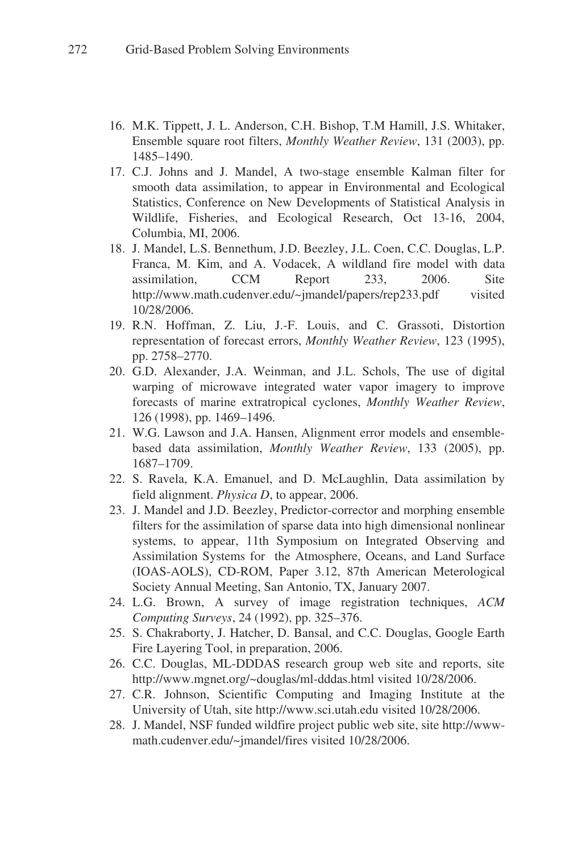- 16. M.K. Tippett, J. L. Anderson, C.H. Bishop, T.M Hamill, J.S. Whitaker, Ensemble square root filters, *Monthly Weather Review*, 131 (2003), pp. 1485–1490.
- 17. C.J. Johns and J. Mandel, A two-stage ensemble Kalman filter for smooth data assimilation, to appear in Environmental and Ecological Statistics, Conference on New Developments of Statistical Analysis in Wildlife, Fisheries, and Ecological Research, Oct 13-16, 2004, Columbia, MI, 2006.
- 18. J. Mandel, L.S. Bennethum, J.D. Beezley, J.L. Coen, C.C. Douglas, L.P. Franca, M. Kim, and A. Vodacek, A wildland fire model with data assimilation, CCM Report 233, 2006. Site http://www.math.cudenver.edu/~jmandel/papers/rep233.pdf visited 10/28/2006.
- 19. R.N. Hoffman, Z. Liu, J.-F. Louis, and C. Grassoti, Distortion representation of forecast errors, *Monthly Weather Review*, 123 (1995), pp. 2758–2770.
- 20. G.D. Alexander, J.A. Weinman, and J.L. Schols, The use of digital warping of microwave integrated water vapor imagery to improve forecasts of marine extratropical cyclones, *Monthly Weather Review*, 126 (1998), pp. 1469–1496.
- 21. W.G. Lawson and J.A. Hansen, Alignment error models and ensemblebased data assimilation, *Monthly Weather Review*, 133 (2005), pp. 1687–1709.
- 22. S. Ravela, K.A. Emanuel, and D. McLaughlin, Data assimilation by field alignment. *Physica D*, to appear, 2006.
- 23. J. Mandel and J.D. Beezley, Predictor-corrector and morphing ensemble filters for the assimilation of sparse data into high dimensional nonlinear systems, to appear, 11th Symposium on Integrated Observing and Assimilation Systems for the Atmosphere, Oceans, and Land Surface (IOAS-AOLS), CD-ROM, Paper 3.12, 87th American Meterological Society Annual Meeting, San Antonio, TX, January 2007.
- 24. L.G. Brown, A survey of image registration techniques, *ACM Computing Surveys*, 24 (1992), pp. 325–376.
- 25. S. Chakraborty, J. Hatcher, D. Bansal, and C.C. Douglas, Google Earth Fire Layering Tool, in preparation, 2006.
- 26. C.C. Douglas, ML-DDDAS research group web site and reports, site http://www.mgnet.org/~douglas/ml-dddas.html visited 10/28/2006.
- 27. C.R. Johnson, Scientific Computing and Imaging Institute at the University of Utah, site http://www.sci.utah.edu visited 10/28/2006.
- 28. J. Mandel, NSF funded wildfire project public web site, site http://wwwmath.cudenver.edu/~jmandel/fires visited 10/28/2006.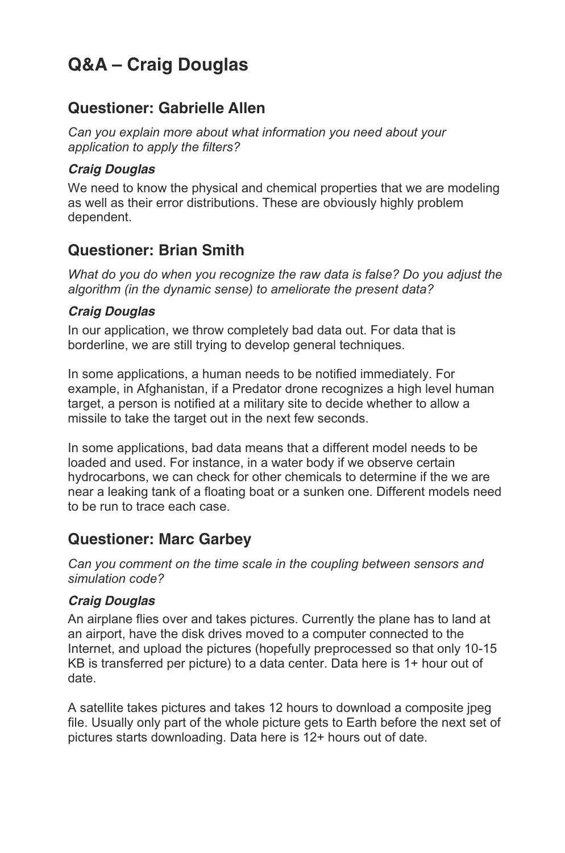# **Q&A – Craig Douglas**

## **Questioner: Gabrielle Allen**

Can you explain more about what information you need about your application to apply the filters?

#### **Craig Douglas**

We need to know the physical and chemical properties that we are modeling as well as their error distributions. These are obviously highly problem dependent.

## **Questioner: Brian Smith**

What do you do when you recognize the raw data is false? Do you adjust the algorithm (in the dynamic sense) to ameliorate the present data?

#### **Craig Douglas**

In our application, we throw completely bad data out. For data that is borderline, we are still trying to develop general techniques.

In some applications, a human needs to be notified immediately. For example, in Afghanistan, if a Predator drone recognizes a high level human target, a person is notified at a military site to decide whether to allow a missile to take the target out in the next few seconds.

In some applications, bad data means that a different model needs to be loaded and used. For instance, in a water body if we observe certain hydrocarbons, we can check for other chemicals to determine if the we are near a leaking tank of a floating boat or a sunken one. Different models need to be run to trace each case.

## **Questioner: Marc Garbey**

Can you comment on the time scale in the coupling between sensors and simulation code?

#### **Craig Douglas**

An airplane flies over and takes pictures. Currently the plane has to land at an airport, have the disk drives moved to a computer connected to the Internet, and upload the pictures (hopefully preprocessed so that only 10-15 KB is transferred per picture) to a data center. Data here is 1+ hour out of date.

A satellite takes pictures and takes 12 hours to download a composite jpeg file. Usually only part of the whole picture gets to Earth before the next set of pictures starts downloading. Data here is 12+ hours out of date.